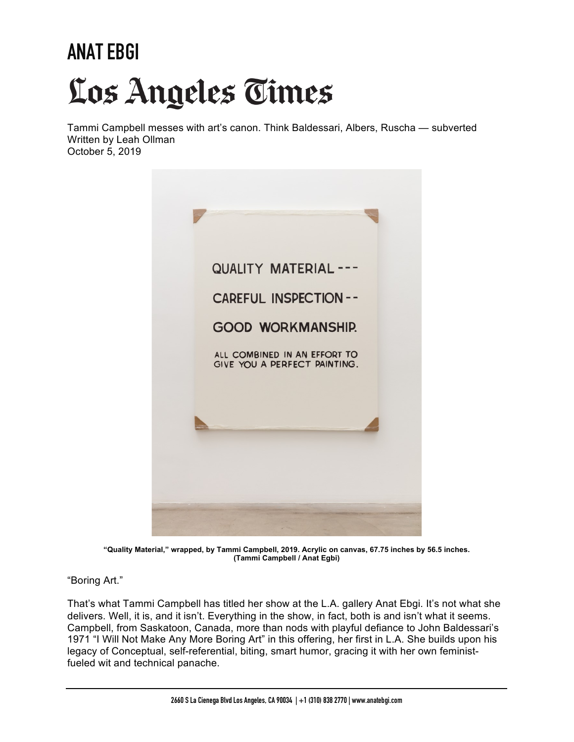## **ANAT EBGI** Los Angeles Times

Tammi Campbell messes with art's canon. Think Baldessari, Albers, Ruscha — subverted Written by Leah Ollman October 5, 2019



**"Quality Material," wrapped, by Tammi Campbell, 2019. Acrylic on canvas, 67.75 inches by 56.5 inches. (Tammi Campbell / Anat Egbi)**

"Boring Art."

That's what Tammi Campbell has titled her show at the L.A. gallery Anat Ebgi. It's not what she delivers. Well, it is, and it isn't. Everything in the show, in fact, both is and isn't what it seems. Campbell, from Saskatoon, Canada, more than nods with playful defiance to John Baldessari's 1971 "I Will Not Make Any More Boring Art" in this offering, her first in L.A. She builds upon his legacy of Conceptual, self-referential, biting, smart humor, gracing it with her own feministfueled wit and technical panache.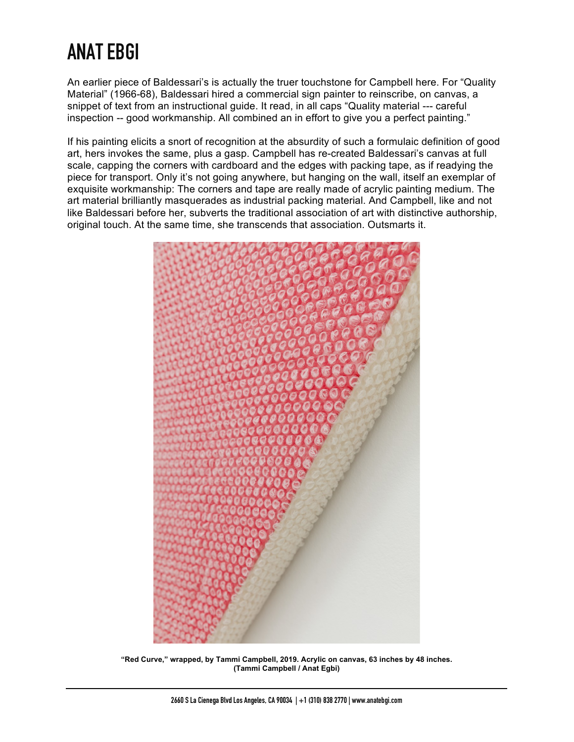## **ANAT EBGI**

An earlier piece of Baldessari's is actually the truer touchstone for Campbell here. For "Quality Material" (1966-68), Baldessari hired a commercial sign painter to reinscribe, on canvas, a snippet of text from an instructional guide. It read, in all caps "Quality material --- careful inspection -- good workmanship. All combined an in effort to give you a perfect painting."

If his painting elicits a snort of recognition at the absurdity of such a formulaic definition of good art, hers invokes the same, plus a gasp. Campbell has re-created Baldessari's canvas at full scale, capping the corners with cardboard and the edges with packing tape, as if readying the piece for transport. Only it's not going anywhere, but hanging on the wall, itself an exemplar of exquisite workmanship: The corners and tape are really made of acrylic painting medium. The art material brilliantly masquerades as industrial packing material. And Campbell, like and not like Baldessari before her, subverts the traditional association of art with distinctive authorship, original touch. At the same time, she transcends that association. Outsmarts it.



**"Red Curve," wrapped, by Tammi Campbell, 2019. Acrylic on canvas, 63 inches by 48 inches. (Tammi Campbell / Anat Egbi)**